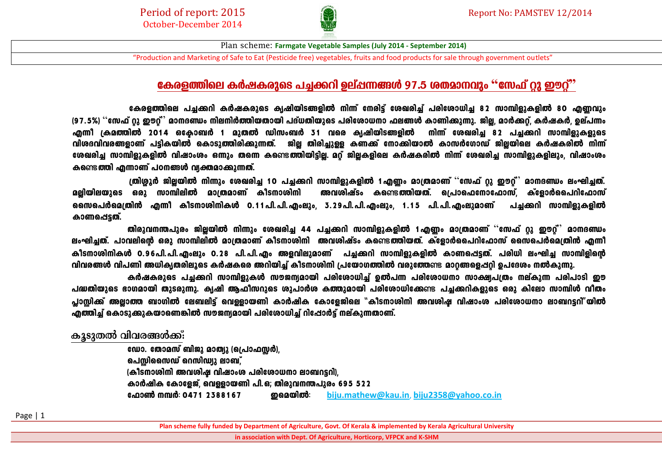

"Production and Marketing of Safe to Eat (Pesticide free) vegetables, fruits and food products for sale through government outlets"

### **കേരളത്തിലെ കർഷകരുടെ പച്ചക്കറി ഉല്**പ്പന്നങ്ങൾ 97.5 ശതമാനവും "സേഫ് റ്റു ഈറ്റ്"

കേരളത്തിലെ പച്ചക്കറി കർഷകരുടെ കൃഷിയിടങ്ങളിൽ നിന്ന് നേരിട്ട് ശേഖരിച്ച് പരിശോധിച്ച 82 സാമ്പിളുകളിൽ 80 എണ്ണവും (97.5%)  $\lq\lq$ സേഫ് റു ഈറ് $\lq$ ് മാനദണ്ഡം നിലനിർത്തിയതായി പദ്ധതിയുടെ പരിശോധനാ ഫലങ്ങൾ കാണിക്കുന്നു. ജില്ല മാർക്കറ്, കർഷകർ, ഉല്പന്നം എന്നീ (കമത്തിൽ 2014 ഒക്രോബർ 1 മുതൽ ഡിസംബർ 31 വരെ ക്യഷിയിടങ്ങളിൽ നിന്ന് ശേഖരിച്ച 82 പച്ചക്കറി സാമ്പിളുകളുടെ വിശദവിവരങ്ങളാണ് പട്ടികയിൽ കൊടുത്തിരിക്കുന്നത്. ജില്ല തിരിച്ചുള്ള കണക്ക് നോക്കിയാൽ കാസർഗോഡ് ജില്ലയിലെ കർഷകരിൽ നിന്ന് ്രേഖരിച്ച സാമ്പിളുകളിൽ വിഷാംശം ഒന്നും തന്നെ കണ്ടെ<mark>ത്തി</mark>യിട്ടില്ല. മറ്റ് ജില്ലകളിലെ കർഷകരിൽ നിന്ന് ശേഖരിച്ച സാമ്പിളുകളിലും, വിഷാംശം കണ്ടെ**ത്തി എന്നാണ് പഠനങ്ങൾ വ്യക്തമാക്കുന്നത്**.

(തിശ്രൂർ ജില്ലയിൽ നിന്നും ശേഖരിച്ച 10 പച്ചക്കറി സാമ്പിളുകളിൽ 1എണ്ണം മാത്രമാണ് "സേഫ് റു ഈറ്<sup>ം</sup> മാനദണ്ഡം ലംഘിച്ചത്. aല്ലിയിലയുടെ ഒരു സാമ്പിലിൽ മാത്രമാണ് കീടനാശിനി അവശിഷ്ടം കണ്ടെ**ത്തിയത്. പ്രൊഫെനോഫോസ്, ക്**ളോർപൈറിഫോസ് നൈപെർമെത്രിൻ എന്നീ കീടനാശിനികൾ 0.11പി.പി.എംലും, 3.29പി.പി.എംലും, 1.15 പി.പി.എംലുമാണ് പച്ചക്കറി സാമ്പിളുകളിൽ കാണപ്പെടത്.

തിരുവനന്തപുരം ജില്ലയിൽ നിന്നും ശേഖരിച്ച 44 പച്ചക്കറി സാമ്പിളുകളിൽ 1എണ്ണം മാത്രമാണ് "സേഫ് റു ഈറ്റ്" മാനദണ്ഡം ലംഘിച്ചത്. പാവലിന്റെ ഒരു സാമ്പിലിൽ മാത്രമാണ് കീടനാശിനി അവശിഷ്ടം കണ്ടെ**ത്തിയത്. ക്ളോർപൈറിഫോസ് സൈപെർമെ**ത്രിൻ എന്നീ കീടനാശിനികൾ 0.96പി.പി.ഹിംലും 0.28 പി.പി.ഹിം അളവിലുമാണ് പചക്കറി സാമ്പിളുകളിൽ കാണപ്പെടത്. പരിധി ലംഘിച സാമ്പിളിൻെ hanho@ വിപണി അധിക്യതരില്ലൂടെ കർഷകരെ അറിയിച്ച് കീടനാശിനി പ്രയോഗ<mark>ത്തിൽ വരുത്തേ</mark>ണ്ട മാറങ്ങളെപ്പറി ഉപദേശം നൽകുന്നു.

കർഷകരുടെ പച്ചക്കറി സാമ്പിളുകൾ സൗജന്യമായി പരിശോധിച്ച് ഉൽപന്ന പരിശോധനാ സാക്ഷപ്രശം നല്കുന്ന പരിപാടി ഈ പദ്ധതിയുടെ ഭാഗമായി തുടരുന്നു. ക്യഷി ആഫീസറുടെ ശുപാർശ കത്തുമായി പരിശോധിക്കേണ്ട പച്ചക്കറികളുടെ ഒരു കിലോ സാമ്പിൾ വീതം പ്പാസ്സിക്ക് അല്ലാത്ത ബാഗിൽ ലേബലിട്ട് വെള്ളായണി കാർഷിക കോളേജിലെ "കീടനാശിനി അവശിഷ വിഷാംശ പരിശോധനാ ലാബറട്ടറി"യിൽ എത്തിച്ച് കൊടുക്കുകയാണെങ്കിൽ സൗജന്യമായി പരിശോധിച്ച് റിപ്പോർട്ട് നല്കുന്നതാണ്.

കൂടുതൽ വിവരങ്ങൾക്ക്:

ഡോ. തോമസ് ബിജു മാത്യു (പ്രൊഫസ്സർ), പെസിസൈഡ് റെസിഡ്യു ലാബ്, (കീടനാശിനി അവശിഷ വിഷാംശ പരിശോധനാ ലാബറട്ടറി), കാർഷിക കോളേജ്, വെള്ളായണി പി.ഒ; തിരുവനന്തപുരം 695 522 t. **എംബി സെർ: 0471 2388167 വി.** ഇമെയിൽ: [biju.mathew@kau.in](mailto:biju.mathew@kau.in), [biju2358@yahoo.co.in](mailto:biju2358@yahoo.co.in)

**Plan scheme fully funded by Department of Agriculture, Govt. Of Kerala & implemented by Kerala Agricultural University** 

**in association with Dept. Of Agriculture, Horticorp, VFPCK and K-SHM**

Page | 1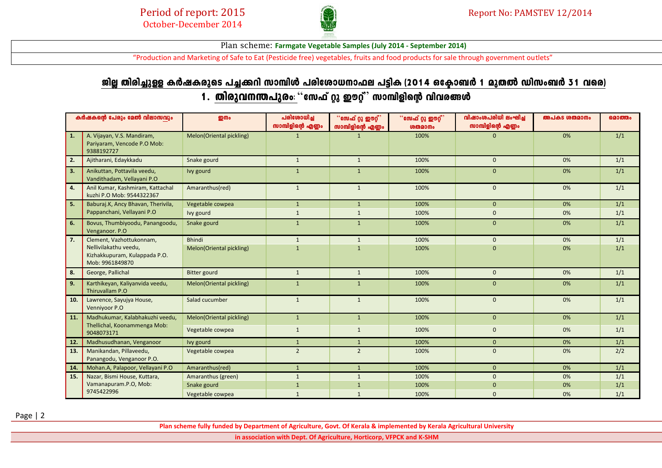

"Production and Marketing of Safe to Eat (Pesticide free) vegetables, fruits and food products for sale through government outlets"

# ജില്ല തിരിച്ചുളള കർഷകരുടെ പച്ചക്കറി സാമ്പിൾ പരിശോധനാഫല പട്ടിക (2014 ഒക്ടോബർ 1 മുതൽ ഡിസംബർ 31 വരെ) 1. **തിരുവനന്തപുരം**: "സേഫ് റ്റു ഈറ്റ്" സാമ്പിളിന്റെ വിവരങ്ങൾ

|     | കർഷകന്റെ പേരും മേൽ വിലാസവും                                               | றி                       | പരിശോധിച്ച<br>സാമ്പിളിന്റെ എണ്ണം | ്നേഫ് റ്റു ഈറ്റ്<br>സാമ്പിളിന്റെ എണ്ണം | ്°സേഫ് റ്റു ഈറ്റ്<br><b><u>ശതമാനം</u></b> | വിഷാംശപരിധി ലംഘിച്ച<br>സാമ്പിളിന്റെ എണ്ണം | അപകട ശതമാനം | മൊത്തം |
|-----|---------------------------------------------------------------------------|--------------------------|----------------------------------|----------------------------------------|-------------------------------------------|-------------------------------------------|-------------|--------|
| 1.  | A. Vijayan, V.S. Mandiram,<br>Pariyaram, Vencode P.O Mob:<br>9388192727   | Melon(Oriental pickling) |                                  | 1                                      | 100%                                      | $\mathbf{0}$                              | 0%          | 1/1    |
| 2.  | Ajitharani, Edaykkadu                                                     | Snake gourd              | $\mathbf{1}$                     | $\mathbf{1}$                           | 100%                                      | $\mathbf{0}$                              | 0%          | 1/1    |
| 3.  | Anikuttan, Pottavila veedu,<br>Vandithadam, Vellayani P.O                 | Ivy gourd                | $\mathbf{1}$                     | $\mathbf{1}$                           | 100%                                      | $\mathbf{0}$                              | 0%          | 1/1    |
| 4.  | Anil Kumar, Kashmiram, Kattachal<br>kuzhi P.O Mob: 9544322367             | Amaranthus(red)          | $\mathbf{1}$                     | $\mathbf{1}$                           | 100%                                      | $\mathbf{0}$                              | 0%          | 1/1    |
| 5.  | Baburaj.K, Ancy Bhavan, Therivila,                                        | Vegetable cowpea         | $\mathbf{1}$                     | $\mathbf{1}$                           | 100%                                      | $\mathbf{0}$                              | 0%          | 1/1    |
|     | Pappanchani, Vellayani P.O                                                | Ivy gourd                | $\mathbf{1}$                     | $\mathbf{1}$                           | 100%                                      | $\mathbf{0}$                              | 0%          | 1/1    |
| 6.  | Bovus, Thumbiyoodu, Panangoodu,<br>Venganoor. P.O                         | Snake gourd              | $\mathbf{1}$                     | $\mathbf{1}$                           | 100%                                      | $\mathbf{0}$                              | 0%          | 1/1    |
| 7.  | Clement, Vazhottukonnam,                                                  | <b>Bhindi</b>            | $\mathbf{1}$                     | $\mathbf{1}$                           | 100%                                      | $\mathbf{0}$                              | 0%          | 1/1    |
|     | Nellivilakathu veedu,<br>Kizhakkupuram, Kulappada P.O.<br>Mob: 9961849870 | Melon(Oriental pickling) | $\mathbf{1}$                     | $\mathbf{1}$                           | 100%                                      | $\mathbf{0}$                              | 0%          | 1/1    |
| 8.  | George, Pallichal                                                         | <b>Bitter gourd</b>      | $\mathbf{1}$                     | $\mathbf{1}$                           | 100%                                      | $\mathbf{0}$                              | 0%          | 1/1    |
| 9.  | Karthikeyan, Kaliyanvida veedu,<br>Thiruvallam P.O                        | Melon(Oriental pickling) | $\mathbf{1}$                     | $\mathbf{1}$                           | 100%                                      | $\Omega$                                  | 0%          | 1/1    |
| 10. | Lawrence, Sayujya House,<br>Venniyoor P.O                                 | Salad cucumber           | $\mathbf{1}$                     | $\mathbf{1}$                           | 100%                                      | $\mathbf{0}$                              | 0%          | 1/1    |
| 11. | Madhukumar, Kalabhakuzhi veedu,                                           | Melon(Oriental pickling) | $\mathbf{1}$                     | $\mathbf{1}$                           | 100%                                      | $\mathbf{0}$                              | 0%          | 1/1    |
|     | Thellichal, Koonammenga Mob:<br>9048073171                                | Vegetable cowpea         | $\mathbf{1}$                     | $\mathbf{1}$                           | 100%                                      | $\mathbf{0}$                              | 0%          | 1/1    |
| 12. | Madhusudhanan, Venganoor                                                  | Ivy gourd                | $\mathbf{1}$                     | $\mathbf{1}$                           | 100%                                      | $\mathbf{0}$                              | 0%          | 1/1    |
| 13. | Manikandan, Pillaveedu,<br>Panangodu, Venganoor P.O.                      | Vegetable cowpea         | $\overline{2}$                   | $\overline{2}$                         | 100%                                      | $\mathbf{0}$                              | 0%          | 2/2    |
| 14. | Mohan.A, Palapoor, Vellayani P.O                                          | Amaranthus(red)          | $\mathbf{1}$                     | $\mathbf{1}$                           | 100%                                      | $\mathbf{0}$                              | 0%          | 1/1    |
| 15. | Nazar, Bismi House, Kuttara,                                              | Amaranthus (green)       | $\mathbf{1}$                     | $\mathbf{1}$                           | 100%                                      | $\Omega$                                  | 0%          | 1/1    |
|     | Vamanapuram.P.O, Mob:                                                     | Snake gourd              | $\mathbf{1}$                     | $\mathbf{1}$                           | 100%                                      | $\mathbf{0}$                              | 0%          | 1/1    |
|     | 9745422996                                                                | Vegetable cowpea         | $\mathbf{1}$                     | $\mathbf{1}$                           | 100%                                      | $\mathbf{0}$                              | 0%          | 1/1    |

Page | 2

**Plan scheme fully funded by Department of Agriculture, Govt. Of Kerala & implemented by Kerala Agricultural University in association with Dept. Of Agriculture, Horticorp, VFPCK and K-SHM**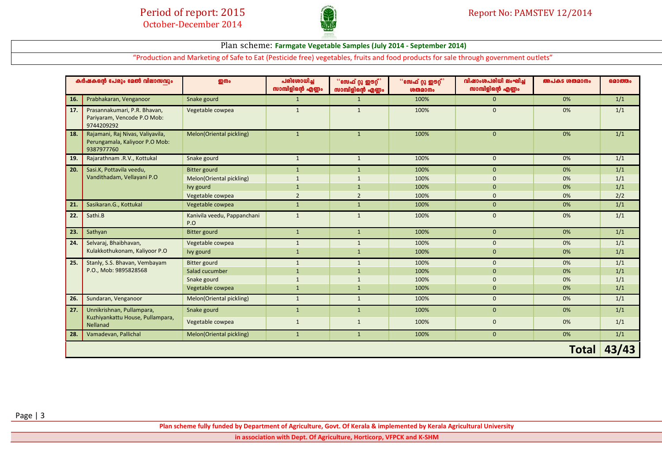

"Production and Marketing of Safe to Eat (Pesticide free) vegetables, fruits and food products for sale through government outlets"

|     | കർഷകന്റെ പേരും മേൽ വിലാസവും                                                      | <b>ഇനം</b>                         | പരിശോധിച്ച<br>സാമ്പിളിന്റെ എണ്ണം | <b>"സേഫ് റ്റു ഈറ്റ്</b> ?<br>സാമ്പിളിന്റെ എണ്ണം | ്°േ എ ഈ സ്<br><b><u><b>GMA3Mo</b></u></b> | വിഷാംശപരിധി ലംഘിച്ച<br>സാമ്പിളിന്റെ എണ്ണം | അപകട ശതമാനം  | മൊത്തം |
|-----|----------------------------------------------------------------------------------|------------------------------------|----------------------------------|-------------------------------------------------|-------------------------------------------|-------------------------------------------|--------------|--------|
| 16. | Prabhakaran, Venganoor                                                           | Snake gourd                        | $\mathbf{1}$                     | $\mathbf{1}$                                    | 100%                                      | $\mathbf{0}$                              | 0%           | 1/1    |
| 17. | Prasannakumari, P.R. Bhavan,<br>Pariyaram, Vencode P.O Mob:<br>9744209292        | Vegetable cowpea                   | $\mathbf{1}$                     | $\mathbf{1}$                                    | 100%                                      | $\mathbf{0}$                              | 0%           | 1/1    |
| 18. | Rajamani, Raj Nivas, Valiyavila,<br>Perungamala, Kaliyoor P.O Mob:<br>9387977760 | Melon(Oriental pickling)           | $\mathbf{1}$                     | $\mathbf{1}$                                    | 100%                                      | $\mathbf{0}$                              | 0%           | 1/1    |
| 19. | Rajarathnam .R.V., Kottukal                                                      | Snake gourd                        | $\mathbf{1}$                     | $\mathbf{1}$                                    | 100%                                      | $\mathbf{0}$                              | 0%           | 1/1    |
| 20. | Sasi.K, Pottavila veedu,                                                         | <b>Bitter gourd</b>                | $\mathbf{1}$                     | $\mathbf{1}$                                    | 100%                                      | $\mathbf{0}$                              | 0%           | 1/1    |
|     | Vandithadam, Vellayani P.O                                                       | Melon(Oriental pickling)           | $\mathbf{1}$                     | $\mathbf{1}$                                    | 100%                                      | $\mathbf{0}$                              | 0%           | 1/1    |
|     |                                                                                  | Ivy gourd                          | $\mathbf{1}$                     | $\mathbf{1}$                                    | 100%                                      | $\overline{0}$                            | 0%           | 1/1    |
|     |                                                                                  | Vegetable cowpea                   | $\overline{2}$                   | $\overline{2}$                                  | 100%                                      | $\mathbf{0}$                              | 0%           | 2/2    |
| 21. | Sasikaran.G., Kottukal                                                           | Vegetable cowpea                   | $\mathbf{1}$                     | $\mathbf{1}$                                    | 100%                                      | $\mathbf{0}$                              | 0%           | 1/1    |
| 22. | Sathi.B                                                                          | Kanivila veedu, Pappanchani<br>P.O | $\mathbf{1}$                     | $\mathbf{1}$                                    | 100%                                      | $\mathbf{0}$                              | 0%           | 1/1    |
| 23. | Sathyan                                                                          | <b>Bitter gourd</b>                | $\mathbf{1}$                     | $\mathbf{1}$                                    | 100%                                      | $\mathbf{0}$                              | 0%           | 1/1    |
| 24. | Selvaraj, Bhaibhavan,                                                            | Vegetable cowpea                   | $\mathbf{1}$                     | $\mathbf{1}$                                    | 100%                                      | $\mathbf{0}$                              | 0%           | 1/1    |
|     | Kulakkothukonam, Kaliyoor P.O                                                    | Ivy gourd                          | $\mathbf{1}$                     | $\mathbf{1}$                                    | 100%                                      | $\Omega$                                  | 0%           | 1/1    |
| 25. | Stanly, S.S. Bhavan, Vembayam                                                    | <b>Bitter gourd</b>                | $\mathbf{1}$                     | $\mathbf{1}$                                    | 100%                                      | $\mathbf{0}$                              | 0%           | 1/1    |
|     | P.O., Mob: 9895828568                                                            | Salad cucumber                     | $\mathbf{1}$                     | $\mathbf{1}$                                    | 100%                                      | $\mathbf 0$                               | 0%           | 1/1    |
|     |                                                                                  | Snake gourd                        | $\mathbf{1}$                     | $\mathbf{1}$                                    | 100%                                      | $\mathbf{0}$                              | 0%           | 1/1    |
|     |                                                                                  | Vegetable cowpea                   | $\mathbf{1}$                     | $\mathbf{1}$                                    | 100%                                      | $\mathbf{0}$                              | 0%           | 1/1    |
| 26. | Sundaran, Venganoor                                                              | Melon(Oriental pickling)           | $\mathbf{1}$                     | $\mathbf{1}$                                    | 100%                                      | $\mathbf{0}$                              | 0%           | 1/1    |
| 27. | Unnikrishnan, Pullampara,                                                        | Snake gourd                        | $\mathbf{1}$                     | $\mathbf{1}$                                    | 100%                                      | $\mathbf{0}$                              | 0%           | 1/1    |
|     | Kuzhiyankattu House, Pullampara,<br>Nellanad                                     | Vegetable cowpea                   | $\mathbf{1}$                     | $\mathbf{1}$                                    | 100%                                      | $\mathbf{0}$                              | 0%           | 1/1    |
| 28. | Vamadevan, Pallichal                                                             | Melon(Oriental pickling)           | $\mathbf{1}$                     | $\mathbf{1}$                                    | 100%                                      | $\mathbf{0}$                              | 0%           | 1/1    |
|     |                                                                                  |                                    |                                  |                                                 |                                           |                                           | <b>Total</b> | 43/43  |

**Plan scheme fully funded by Department of Agriculture, Govt. Of Kerala & implemented by Kerala Agricultural University** 

**in association with Dept. Of Agriculture, Horticorp, VFPCK and K-SHM**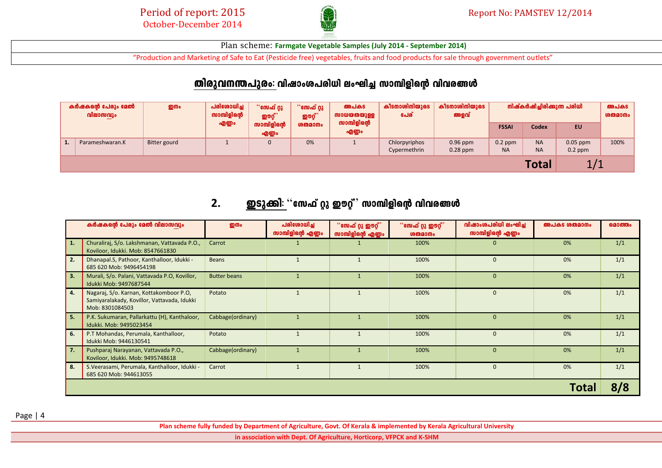

"Production and Marketing of Safe to Eat (Pesticide free) vegetables, fruits and food products for sale through government outlets"

#### തിരുവനന്തപുരം: വിഷാംശപരിധി ലംഘിച്ച സാമ്പിളിന്റെ വിവരങ്ങൾ

| കർഷകന്റെ പേരും മേൽ<br>വിലാസവും |                     | றுமை         |       | പരിശോധിച്ച<br>സാമ്പിളിന്റെ     | കീടനാശിനിയുടെ<br>്'സേഫ് റ്റു<br>അപകട<br>്°സേഫ് റ്റു<br>അളവ്<br>പേര്<br>സാധയതയുള്ള<br><b>ഇ</b> ാറ്റ്'<br><b>ூ</b> ற் ப |                       | കീടനാശിനിയുടെ                 |                          | നിഷ്കർഷിച്ചിരിക്കുന്ന പരിധി |                        | അപകട<br>ശതമാനം          |      |
|--------------------------------|---------------------|--------------|-------|--------------------------------|-----------------------------------------------------------------------------------------------------------------------|-----------------------|-------------------------------|--------------------------|-----------------------------|------------------------|-------------------------|------|
|                                |                     |              | എണ്ണം | സാമ്പിളിന്റെ<br><b>.എ</b> ണ്ണം | ശതമാനം                                                                                                                | സാമ്പിളിന്റെ<br>എണ്ണം |                               |                          | <b>FSSAI</b>                | Codex                  | <b>EU</b>               |      |
|                                | Parameshwaran.K     | Bitter gourd |       | $\Omega$                       | 0%                                                                                                                    |                       | Chlorpyriphos<br>Cypermethrin | $0.96$ ppm<br>$0.28$ ppm | $0.2$ ppm<br><b>NA</b>      | <b>NA</b><br><b>NA</b> | $0.05$ ppm<br>$0.2$ ppm | 100% |
|                                | <b>Total</b><br>- 1 |              |       |                                |                                                                                                                       |                       |                               |                          |                             |                        |                         |      |

## 2. ഈടുക്കി: ``സേഫ് റ്റു ഈറ്റ്` സാമ്പിളിന്റെ വിവരങ്ങൾ

| കർഷകന്റെ പേരും മേൽ വിലാസവും |                                                                                                           | <b>ഇനം</b>          | പരിശോധിച്ച<br>സാമ്പിളിന്റെ എണ്ണം | ്നേഫ് റ്റു ഈറ്റ്<br>സാമ്പിളിന്റെ എണ്ണം | "സേഫ് റ്റു ഈറ്റ്"<br><b><i><u><b>GMQ0Mo</b></u></i></b> | വിഷാംശപരിധി ലംഘിച്ച<br>സാമ്പിളിന്റെ എണ്ണം | അപകട ശതമാനം | മൊത്തം |
|-----------------------------|-----------------------------------------------------------------------------------------------------------|---------------------|----------------------------------|----------------------------------------|---------------------------------------------------------|-------------------------------------------|-------------|--------|
| 1.                          | Churaliraj, S/o. Lakshmanan, Vattavada P.O.,<br>Koviloor, Idukki. Mob: 8547661830                         | Carrot              |                                  |                                        | 100%                                                    | $\Omega$                                  | 0%          | 1/1    |
| 2.                          | Dhanapal.S, Pathoor, Kanthalloor, Idukki -<br>685 620 Mob: 9496454198                                     | Beans               |                                  |                                        | 100%                                                    | $\Omega$                                  | 0%          | 1/1    |
| 3.                          | Murali, S/o. Palani, Vattavada P.O, Kovillor,<br>Idukki Mob: 9497687544                                   | <b>Butter beans</b> |                                  |                                        | 100%                                                    | $\mathbf{0}$                              | 0%          | 1/1    |
| 4.                          | Nagaraj, S/o. Karnan, Kottakomboor P.O.<br>Samiyaralakady, Kovillor, Vattavada, Idukki<br>Mob: 8301084503 | Potato              |                                  |                                        | 100%                                                    | $\Omega$                                  | 0%          | 1/1    |
| 5.                          | P.K. Sukumaran, Pallarkattu (H), Kanthaloor,<br>Idukki. Mob: 9495023454                                   | Cabbage(ordinary)   |                                  |                                        | 100%                                                    | $\mathbf{0}$                              | 0%          | 1/1    |
| 6.                          | P.T Mohandas, Perumala, Kanthalloor,<br>Idukki Mob: 9446130541                                            | Potato              |                                  |                                        | 100%                                                    | $\Omega$                                  | 0%          | 1/1    |
| 7.                          | Pushparaj Narayanan, Vattavada P.O.,<br>Koviloor, Idukki. Mob: 9495748618                                 | Cabbage(ordinary)   |                                  |                                        | 100%                                                    | $\mathbf{0}$                              | 0%          | 1/1    |
| 8.                          | S.Veerasami, Perumala, Kanthalloor, Idukki -<br>685 620 Mob: 944613055                                    | Carrot              |                                  |                                        | 100%                                                    | $\Omega$                                  | 0%          | 1/1    |
|                             |                                                                                                           |                     |                                  |                                        |                                                         |                                           | Total       | 8/8    |

Page | 4

**Plan scheme fully funded by Department of Agriculture, Govt. Of Kerala & implemented by Kerala Agricultural University** 

**in association with Dept. Of Agriculture, Horticorp, VFPCK and K-SHM**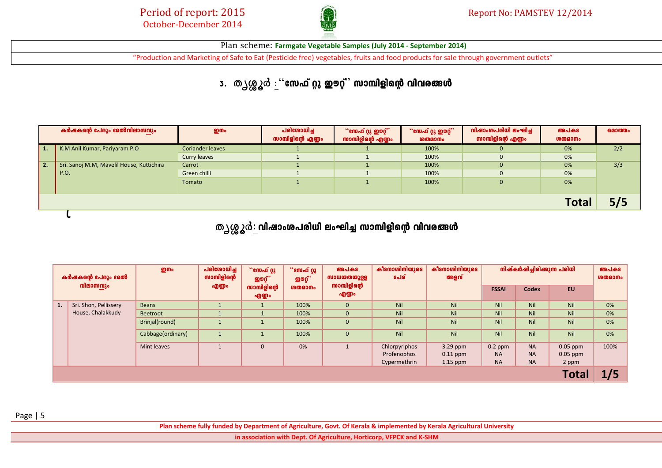

"Production and Marketing of Safe to Eat (Pesticide free) vegetables, fruits and food products for sale through government outlets"

# 3. തൃശ്ശൂർ <u>:</u> "സേഫ് റ്റു ഈറ്റ്" സാമ്പിളിന്റെ വിവരങ്ങൾ

|                | കർഷകന്റെ പേരും മേൽവിലാസവും                | <b>ഇനം</b>              | പരിശോധിച്ച<br>സാമ്പിളിന്റെ എണ്ണം | ്"സേഫ് റ്റു ഈറ്റ് $^{\circ}$<br>സാമ്പിളിന്റെ എണ്ണം | ്സേഫ് റ്റു ഈറ്റ് $^{\circ}$<br>ശതമാനം | വിഷാംശപരിധി ലംഘിച്ച<br>സാമ്പിളിന്റെ എണ്ണം | അപകട<br>ശതമാനം | മൊത്തം |
|----------------|-------------------------------------------|-------------------------|----------------------------------|----------------------------------------------------|---------------------------------------|-------------------------------------------|----------------|--------|
| $\mathbf{1}$ . | K.M Anil Kumar, Pariyaram P.O             | <b>Coriander leaves</b> |                                  |                                                    | 100%                                  |                                           | 0%             | 2/2    |
|                |                                           | Curry leaves            |                                  |                                                    | 100%                                  | $\Omega$                                  | 0%             |        |
| l 2.           | Sri. Sanoj M.M, Mavelil House, Kuttichira | Carrot                  |                                  |                                                    | 100%                                  | $\Omega$                                  | 0%             | 3/3    |
|                | P.O.                                      | Green chilli            |                                  |                                                    | 100%                                  |                                           | 0%             |        |
|                |                                           | Tomato                  |                                  |                                                    | 100%                                  | $\Omega$                                  | 0%             |        |
|                |                                           |                         |                                  |                                                    |                                       |                                           | <b>Total</b>   | 5/5    |
|                |                                           |                         |                                  |                                                    |                                       |                                           |                |        |
|                |                                           |                         |                                  |                                                    |                                       |                                           |                |        |

തൃശ്ശൂർ<u>:</u> വിഷാംശപരിധി ലംഘിച്ച സാമ്പിളിന്റെ വിവരങ്ങൾ

| കർഷകന്റെ പേരും മേൽ<br>വിലാസവും |                       | றி<br>എണ്ണം       | പരിശോധിച്ച<br>്°േക് റ്റു<br>സാമ്പിളിന്റെ<br>ை<br>இற0்<br>സാമ്പിളിന്റെ<br>എണ്ണം | ്'സേഫ് റ്റു<br><b>ഇൗറ്റ്</b> | അപകട<br>സാധയതയുള്ള | കീടനാശിനിയുടെ<br>പേര് | കീടനാശിനിയുടെ<br>അളവ് |            | നിഷ്കർഷിച്ചിരിക്കുന്ന പരിധി | അപകട<br><b>ശതമാനം</b> |            |      |
|--------------------------------|-----------------------|-------------------|--------------------------------------------------------------------------------|------------------------------|--------------------|-----------------------|-----------------------|------------|-----------------------------|-----------------------|------------|------|
|                                |                       |                   |                                                                                |                              | ശതമാനം             | സാമ്പിളിന്റെ<br>എണ്ണം |                       |            | <b>FSSAI</b>                | <b>Codex</b>          | <b>EU</b>  |      |
|                                | Sri. Shon, Pellissery | <b>Beans</b>      |                                                                                |                              | 100%               | $\mathbf{0}$          | Nil                   | Nil        | Nil                         | Nil                   | Nil        | 0%   |
|                                | House, Chalakkudy     | Beetroot          |                                                                                |                              | 100%               | $\mathbf{0}$          | Nil                   | Nil        | Nil                         | Nil                   | Nil        | 0%   |
|                                |                       | Brinjal(round)    |                                                                                |                              | 100%               | $\mathbf{0}$          | Nil                   | Nil        | Nil                         | Nil                   | Nil        | 0%   |
|                                |                       | Cabbage(ordinary) | $\mathbf{1}$                                                                   | $\overline{ }$               | 100%               | $\mathbf{0}$          | Nil                   | Nil        | Nil                         | Nil                   | Nil        | 0%   |
|                                |                       | Mint leaves       |                                                                                | $\mathbf{0}$                 | 0%                 |                       | Chlorpyriphos         | 3.29 ppm   | $0.2$ ppm                   | <b>NA</b>             | $0.05$ ppm | 100% |
|                                |                       |                   |                                                                                |                              |                    |                       | Profenophos           | $0.11$ ppm | <b>NA</b>                   | <b>NA</b>             | $0.05$ ppm |      |
|                                |                       |                   |                                                                                |                              |                    |                       | Cypermethrin          | $1.15$ ppm | <b>NA</b>                   | <b>NA</b>             | 2 ppm      |      |
|                                | <b>Total</b>          |                   |                                                                                |                              |                    |                       |                       |            |                             |                       |            |      |

Page | 5

**Plan scheme fully funded by Department of Agriculture, Govt. Of Kerala & implemented by Kerala Agricultural University** 

**in association with Dept. Of Agriculture, Horticorp, VFPCK and K-SHM**